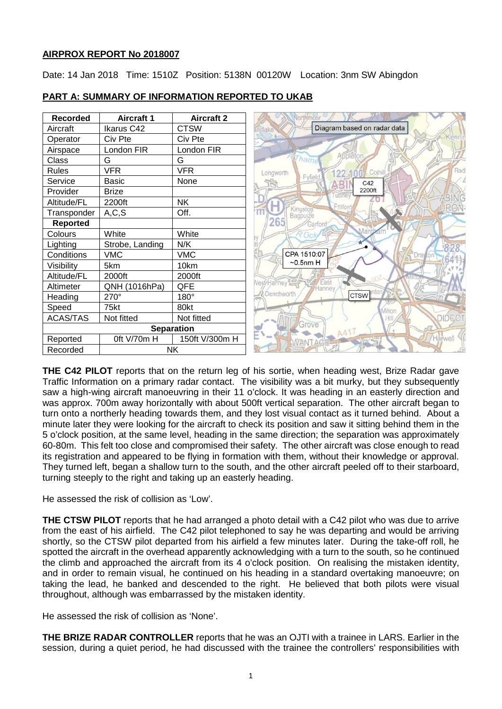#### **AIRPROX REPORT No 2018007**

Date: 14 Jan 2018 Time: 1510Z Position: 5138N 00120W Location: 3nm SW Abingdon

| <b>Recorded</b> | <b>Aircraft 1</b> | <b>Aircraft 2</b> |                                            |
|-----------------|-------------------|-------------------|--------------------------------------------|
| Aircraft        | Ikarus C42        | <b>CTSW</b>       | Diagram based on radar data<br>andlake     |
| Operator        | Civ Pte           | Civ Pte           | Kennii                                     |
| Airspace        | London FIR        | London FIR        |                                            |
| Class           | G                 | G                 | Applêtoi<br>Tham                           |
| <b>Rules</b>    | <b>VFR</b>        | <b>VFR</b>        | Rad<br>Cothil<br>122.1<br>Longworth        |
| Service         | <b>Basic</b>      | None              | Fyfield<br>C42                             |
| Provider        | <b>Brize</b>      |                   | 2200ft<br>ubney                            |
| Altitude/FL     | 2200ft            | <b>NK</b>         | Friiford                                   |
| Transponder     | A, C, S           | Off.              | Kingston<br>Bagpuize                       |
| <b>Reported</b> |                   |                   | 265<br>Garford                             |
| Colours         | White             | White             | Mai<br>Ock                                 |
| Lighting        | Strobe, Landing   | N/K               | ₩                                          |
| Conditions      | <b>VMC</b>        | <b>VMC</b>        | CPA 1510:07<br>Jra                         |
| Visibility      | 5km               | 10km              | $-0.5$ nm H                                |
| Altitude/FL     | 2000ft            | 2000ft            |                                            |
| Altimeter       | QNH (1016hPa)     | QFE               | Vest/Hanney <sup>2</sup><br>East<br>Hanney |
| Heading         | 270°              | 180°              | Denchworth<br>CTSW                         |
| Speed           | 75kt              | 80kt              | Miltor                                     |
| <b>ACAS/TAS</b> | Not fitted        | Not fitted        | DIDCO                                      |
|                 |                   | <b>Separation</b> | Grove                                      |
| Reported        | Oft V/70m H       | 150ft V/300m H    | Harwell                                    |
| Recorded        |                   | NΚ.               |                                            |

# **PART A: SUMMARY OF INFORMATION REPORTED TO UKAB**

**THE C42 PILOT** reports that on the return leg of his sortie, when heading west, Brize Radar gave Traffic Information on a primary radar contact. The visibility was a bit murky, but they subsequently saw a high-wing aircraft manoeuvring in their 11 o'clock. It was heading in an easterly direction and was approx. 700m away horizontally with about 500ft vertical separation. The other aircraft began to turn onto a northerly heading towards them, and they lost visual contact as it turned behind. About a minute later they were looking for the aircraft to check its position and saw it sitting behind them in the 5 o'clock position, at the same level, heading in the same direction; the separation was approximately 60-80m. This felt too close and compromised their safety. The other aircraft was close enough to read its registration and appeared to be flying in formation with them, without their knowledge or approval. They turned left, began a shallow turn to the south, and the other aircraft peeled off to their starboard, turning steeply to the right and taking up an easterly heading.

He assessed the risk of collision as 'Low'.

**THE CTSW PILOT** reports that he had arranged a photo detail with a C42 pilot who was due to arrive from the east of his airfield. The C42 pilot telephoned to say he was departing and would be arriving shortly, so the CTSW pilot departed from his airfield a few minutes later. During the take-off roll, he spotted the aircraft in the overhead apparently acknowledging with a turn to the south, so he continued the climb and approached the aircraft from its 4 o'clock position. On realising the mistaken identity, and in order to remain visual, he continued on his heading in a standard overtaking manoeuvre; on taking the lead, he banked and descended to the right. He believed that both pilots were visual throughout, although was embarrassed by the mistaken identity.

He assessed the risk of collision as 'None'.

**THE BRIZE RADAR CONTROLLER** reports that he was an OJTI with a trainee in LARS. Earlier in the session, during a quiet period, he had discussed with the trainee the controllers' responsibilities with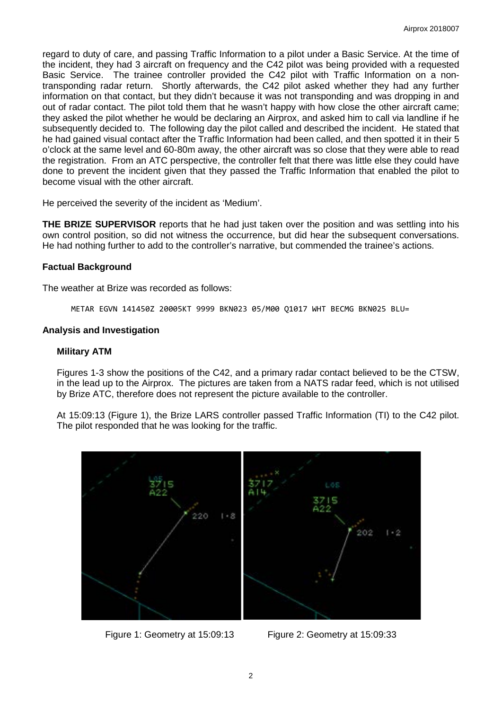regard to duty of care, and passing Traffic Information to a pilot under a Basic Service. At the time of the incident, they had 3 aircraft on frequency and the C42 pilot was being provided with a requested Basic Service. The trainee controller provided the C42 pilot with Traffic Information on a nontransponding radar return. Shortly afterwards, the C42 pilot asked whether they had any further information on that contact, but they didn't because it was not transponding and was dropping in and out of radar contact. The pilot told them that he wasn't happy with how close the other aircraft came; they asked the pilot whether he would be declaring an Airprox, and asked him to call via landline if he subsequently decided to. The following day the pilot called and described the incident. He stated that he had gained visual contact after the Traffic Information had been called, and then spotted it in their 5 o'clock at the same level and 60-80m away, the other aircraft was so close that they were able to read the registration. From an ATC perspective, the controller felt that there was little else they could have done to prevent the incident given that they passed the Traffic Information that enabled the pilot to become visual with the other aircraft.

He perceived the severity of the incident as 'Medium'.

**THE BRIZE SUPERVISOR** reports that he had just taken over the position and was settling into his own control position, so did not witness the occurrence, but did hear the subsequent conversations. He had nothing further to add to the controller's narrative, but commended the trainee's actions.

#### **Factual Background**

The weather at Brize was recorded as follows:

METAR EGVN 141450Z 20005KT 9999 BKN023 05/M00 Q1017 WHT BECMG BKN025 BLU=

#### **Analysis and Investigation**

#### **Military ATM**

Figures 1-3 show the positions of the C42, and a primary radar contact believed to be the CTSW, in the lead up to the Airprox. The pictures are taken from a NATS radar feed, which is not utilised by Brize ATC, therefore does not represent the picture available to the controller.

At 15:09:13 (Figure 1), the Brize LARS controller passed Traffic Information (TI) to the C42 pilot. The pilot responded that he was looking for the traffic.



Figure 1: Geometry at 15:09:13 Figure 2: Geometry at 15:09:33

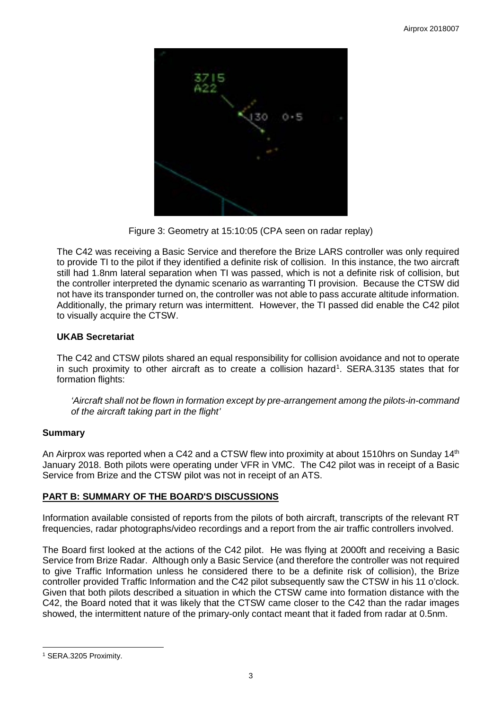

Figure 3: Geometry at 15:10:05 (CPA seen on radar replay)

The C42 was receiving a Basic Service and therefore the Brize LARS controller was only required to provide TI to the pilot if they identified a definite risk of collision. In this instance, the two aircraft still had 1.8nm lateral separation when TI was passed, which is not a definite risk of collision, but the controller interpreted the dynamic scenario as warranting TI provision. Because the CTSW did not have its transponder turned on, the controller was not able to pass accurate altitude information. Additionally, the primary return was intermittent. However, the TI passed did enable the C42 pilot to visually acquire the CTSW.

# **UKAB Secretariat**

The C42 and CTSW pilots shared an equal responsibility for collision avoidance and not to operate in such proximity to other aircraft as to create a collision hazard<sup>[1](#page-2-0)</sup>. SERA.3135 states that for formation flights:

*'Aircraft shall not be flown in formation except by pre-arrangement among the pilots-in-command of the aircraft taking part in the flight'*

# **Summary**

An Airprox was reported when a C42 and a CTSW flew into proximity at about 1510hrs on Sunday 14<sup>th</sup> January 2018. Both pilots were operating under VFR in VMC. The C42 pilot was in receipt of a Basic Service from Brize and the CTSW pilot was not in receipt of an ATS.

# **PART B: SUMMARY OF THE BOARD'S DISCUSSIONS**

Information available consisted of reports from the pilots of both aircraft, transcripts of the relevant RT frequencies, radar photographs/video recordings and a report from the air traffic controllers involved.

The Board first looked at the actions of the C42 pilot. He was flying at 2000ft and receiving a Basic Service from Brize Radar. Although only a Basic Service (and therefore the controller was not required to give Traffic Information unless he considered there to be a definite risk of collision), the Brize controller provided Traffic Information and the C42 pilot subsequently saw the CTSW in his 11 o'clock. Given that both pilots described a situation in which the CTSW came into formation distance with the C42, the Board noted that it was likely that the CTSW came closer to the C42 than the radar images showed, the intermittent nature of the primary-only contact meant that it faded from radar at 0.5nm.

 $\overline{\phantom{a}}$ 

<span id="page-2-0"></span><sup>1</sup> SERA.3205 Proximity.